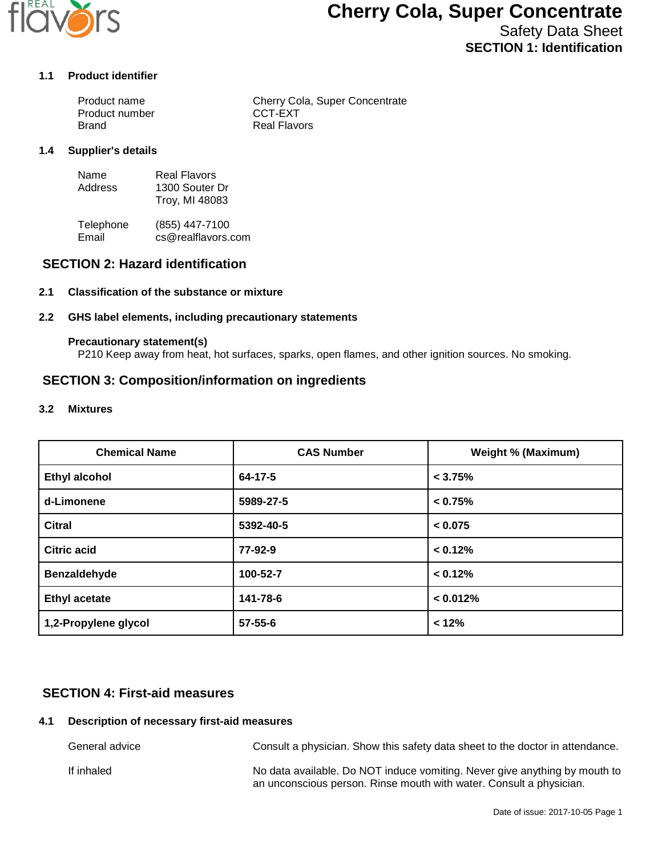

# **Cherry Cola, Super Concentrate**

# Safety Data Sheet **SECTION 1: Identification**

#### **1.1 Product identifier**

| Product name   | Cherry Cola, Super Concentrate |
|----------------|--------------------------------|
| Product number | CCT-EXT                        |
| Brand          | Real Flavors                   |

#### **1.4 Supplier's details**

| Name    | <b>Real Flavors</b> |
|---------|---------------------|
| Address | 1300 Souter Dr      |
|         | Troy, MI 48083      |

Telephone (855) 447-7100<br>Email cs@realflavors. cs@realflavors.com

## **SECTION 2: Hazard identification**

#### **2.1 Classification of the substance or mixture**

#### **2.2 GHS label elements, including precautionary statements**

#### **Precautionary statement(s)**

P210 Keep away from heat, hot surfaces, sparks, open flames, and other ignition sources. No smoking.

### **SECTION 3: Composition/information on ingredients**

#### **3.2 Mixtures**

| <b>Chemical Name</b> | <b>CAS Number</b> | <b>Weight % (Maximum)</b> |
|----------------------|-------------------|---------------------------|
| <b>Ethyl alcohol</b> | 64-17-5           | < 3.75%                   |
| d-Limonene           | 5989-27-5         | < 0.75%                   |
| <b>Citral</b>        | 5392-40-5         | < 0.075                   |
| <b>Citric acid</b>   | 77-92-9           | < 0.12%                   |
| Benzaldehyde         | 100-52-7          | < 0.12%                   |
| <b>Ethyl acetate</b> | 141-78-6          | < 0.012%                  |
| 1,2-Propylene glycol | $57 - 55 - 6$     | < 12%                     |

## **SECTION 4: First-aid measures**

#### **4.1 Description of necessary first-aid measures**

General advice Consult a physician. Show this safety data sheet to the doctor in attendance. If inhaled **No data available.** Do NOT induce vomiting. Never give anything by mouth to an unconscious person. Rinse mouth with water. Consult a physician.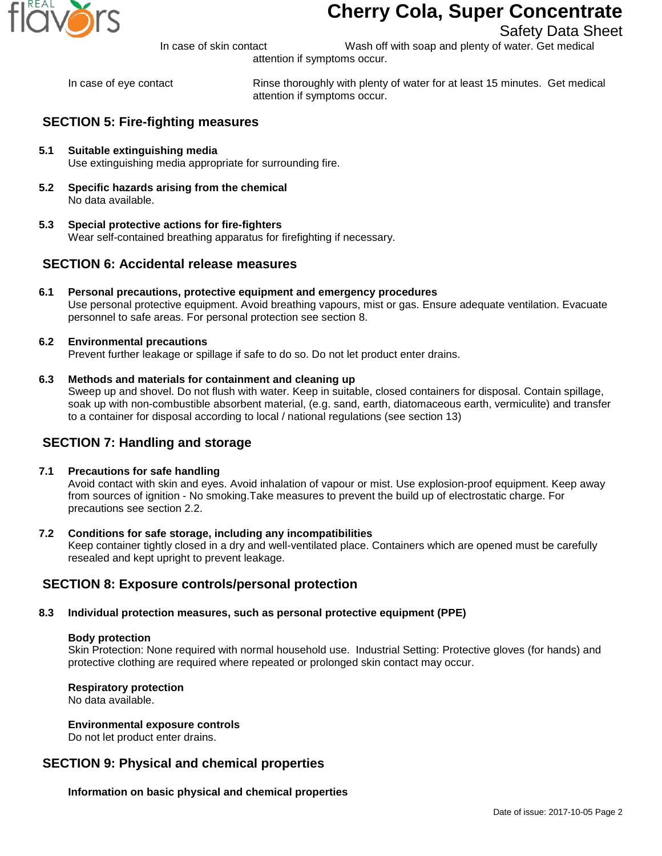

# **Cherry Cola, Super Concentrate**

In case of skin contact Wash off with soap and plenty of water. Get medical

Safety Data Sheet

attention if symptoms occur.

In case of eye contact Rinse thoroughly with plenty of water for at least 15 minutes. Get medical attention if symptoms occur.

# **SECTION 5: Fire-fighting measures**

- **5.1 Suitable extinguishing media** Use extinguishing media appropriate for surrounding fire.
- **5.2 Specific hazards arising from the chemical** No data available.
- **5.3 Special protective actions for fire-fighters** Wear self-contained breathing apparatus for firefighting if necessary.

## **SECTION 6: Accidental release measures**

- **6.1 Personal precautions, protective equipment and emergency procedures** Use personal protective equipment. Avoid breathing vapours, mist or gas. Ensure adequate ventilation. Evacuate personnel to safe areas. For personal protection see section 8.
- **6.2 Environmental precautions** Prevent further leakage or spillage if safe to do so. Do not let product enter drains.

#### **6.3 Methods and materials for containment and cleaning up**

Sweep up and shovel. Do not flush with water. Keep in suitable, closed containers for disposal. Contain spillage, soak up with non-combustible absorbent material, (e.g. sand, earth, diatomaceous earth, vermiculite) and transfer to a container for disposal according to local / national regulations (see section 13)

# **SECTION 7: Handling and storage**

#### **7.1 Precautions for safe handling**

Avoid contact with skin and eyes. Avoid inhalation of vapour or mist. Use explosion-proof equipment. Keep away from sources of ignition - No smoking.Take measures to prevent the build up of electrostatic charge. For precautions see section 2.2.

#### **7.2 Conditions for safe storage, including any incompatibilities**

Keep container tightly closed in a dry and well-ventilated place. Containers which are opened must be carefully resealed and kept upright to prevent leakage.

## **SECTION 8: Exposure controls/personal protection**

### **8.3 Individual protection measures, such as personal protective equipment (PPE)**

#### **Body protection**

Skin Protection: None required with normal household use. Industrial Setting: Protective gloves (for hands) and protective clothing are required where repeated or prolonged skin contact may occur.

#### **Respiratory protection**

No data available.

#### **Environmental exposure controls**

Do not let product enter drains.

# **SECTION 9: Physical and chemical properties**

**Information on basic physical and chemical properties**